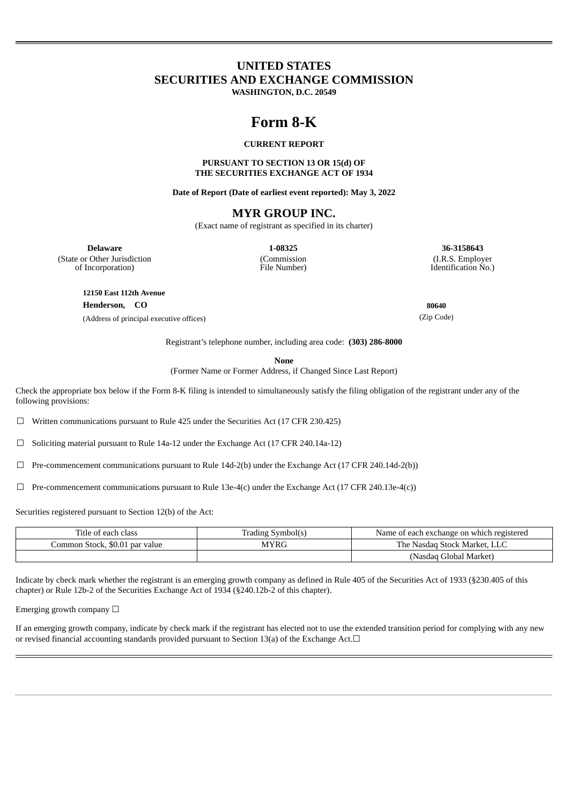## **UNITED STATES SECURITIES AND EXCHANGE COMMISSION**

**WASHINGTON, D.C. 20549**

# **Form 8-K**

## **CURRENT REPORT**

### **PURSUANT TO SECTION 13 OR 15(d) OF THE SECURITIES EXCHANGE ACT OF 1934**

**Date of Report (Date of earliest event reported): May 3, 2022**

## **MYR GROUP INC.**

(Exact name of registrant as specified in its charter)

(State or Other Jurisdiction of Incorporation)

(Commission File Number)

**Delaware 1-08325 36-3158643** (I.R.S. Employer Identification No.)

**12150 East 112th Avenue Henderson, CO 80640**

(Address of principal executive offices) (Zip Code)

Registrant's telephone number, including area code: **(303) 286-8000**

**None**

(Former Name or Former Address, if Changed Since Last Report)

Check the appropriate box below if the Form 8-K filing is intended to simultaneously satisfy the filing obligation of the registrant under any of the following provisions:

☐ Written communications pursuant to Rule 425 under the Securities Act (17 CFR 230.425)

☐ Soliciting material pursuant to Rule 14a-12 under the Exchange Act (17 CFR 240.14a-12)

 $\Box$  Pre-commencement communications pursuant to Rule 14d-2(b) under the Exchange Act (17 CFR 240.14d-2(b))

 $\Box$  Pre-commencement communications pursuant to Rule 13e-4(c) under the Exchange Act (17 CFR 240.13e-4(c))

Securities registered pursuant to Section 12(b) of the Act:

| Title of each class            | Trading Symbol(s) | Name of each exchange on which registered |
|--------------------------------|-------------------|-------------------------------------------|
| Common Stock, \$0.01 par value | <b>MYRG</b>       | The Nasdag Stock Market, LLC              |
|                                |                   | (Nasdaq Global Market)                    |

Indicate by check mark whether the registrant is an emerging growth company as defined in Rule 405 of the Securities Act of 1933 (§230.405 of this chapter) or Rule 12b-2 of the Securities Exchange Act of 1934 (§240.12b-2 of this chapter).

Emerging growth company  $\Box$ 

If an emerging growth company, indicate by check mark if the registrant has elected not to use the extended transition period for complying with any new or revised financial accounting standards provided pursuant to Section 13(a) of the Exchange Act.□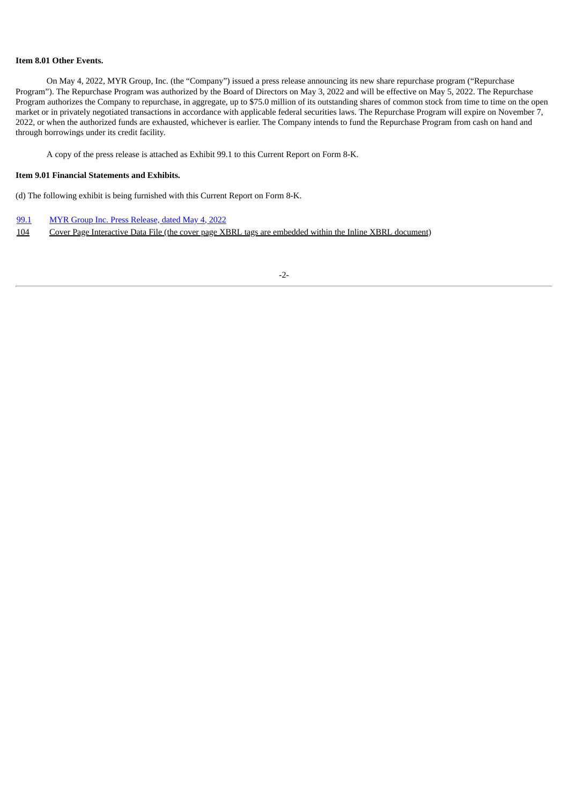#### **Item 8.01 Other Events.**

On May 4, 2022, MYR Group, Inc. (the "Company") issued a press release announcing its new share repurchase program ("Repurchase Program"). The Repurchase Program was authorized by the Board of Directors on May 3, 2022 and will be effective on May 5, 2022. The Repurchase Program authorizes the Company to repurchase, in aggregate, up to \$75.0 million of its outstanding shares of common stock from time to time on the open market or in privately negotiated transactions in accordance with applicable federal securities laws. The Repurchase Program will expire on November 7, 2022, or when the authorized funds are exhausted, whichever is earlier. The Company intends to fund the Repurchase Program from cash on hand and through borrowings under its credit facility.

A copy of the press release is attached as Exhibit 99.1 to this Current Report on Form 8-K.

## **Item 9.01 Financial Statements and Exhibits.**

(d) The following exhibit is being furnished with this Current Report on Form 8-K.

- [99.1](#page-3-0) MYR Group Inc. Press [Release,](#page-3-0) dated [May](#page-3-0) 4, [2022](#page-3-0)
- 104 Cover Page Interactive Data File (the cover page XBRL tags are embedded within the Inline XBRL document)

-2-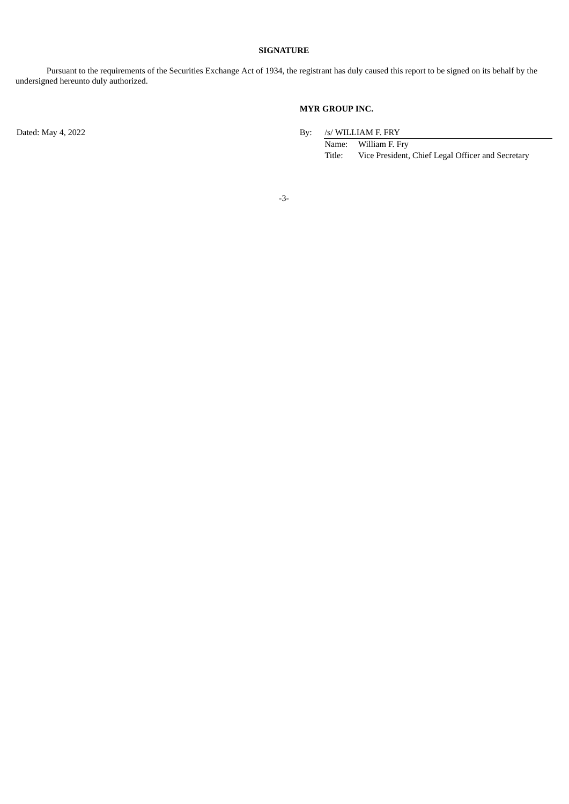## **SIGNATURE**

Pursuant to the requirements of the Securities Exchange Act of 1934, the registrant has duly caused this report to be signed on its behalf by the undersigned hereunto duly authorized.

## **MYR GROUP INC.**

Dated: May 4, 2022 By: /s/ WILLIAM F. FRY

Name: William F. Fry Title: Vice President, Chief Legal Officer and Secretary

-3-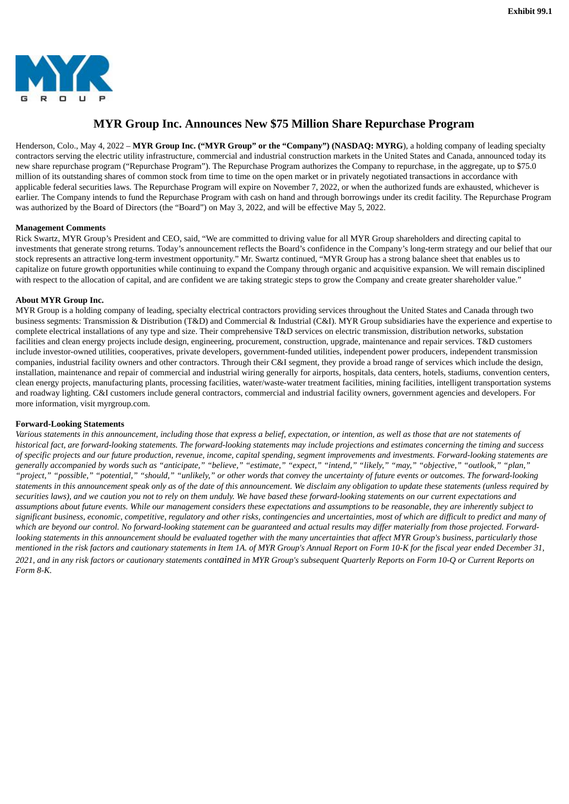<span id="page-3-0"></span>

## **MYR Group Inc. Announces New \$75 Million Share Repurchase Program**

Henderson, Colo., May 4, 2022 – **MYR Group Inc. ("MYR Group" or the "Company") (NASDAQ: MYRG**), a holding company of leading specialty contractors serving the electric utility infrastructure, commercial and industrial construction markets in the United States and Canada, announced today its new share repurchase program ("Repurchase Program"). The Repurchase Program authorizes the Company to repurchase, in the aggregate, up to \$75.0 million of its outstanding shares of common stock from time to time on the open market or in privately negotiated transactions in accordance with applicable federal securities laws. The Repurchase Program will expire on November 7, 2022, or when the authorized funds are exhausted, whichever is earlier. The Company intends to fund the Repurchase Program with cash on hand and through borrowings under its credit facility. The Repurchase Program was authorized by the Board of Directors (the "Board") on May 3, 2022, and will be effective May 5, 2022.

#### **Management Comments**

Rick Swartz, MYR Group's President and CEO, said, "We are committed to driving value for all MYR Group shareholders and directing capital to investments that generate strong returns. Today's announcement reflects the Board's confidence in the Company's long-term strategy and our belief that our stock represents an attractive long-term investment opportunity." Mr. Swartz continued, "MYR Group has a strong balance sheet that enables us to capitalize on future growth opportunities while continuing to expand the Company through organic and acquisitive expansion. We will remain disciplined with respect to the allocation of capital, and are confident we are taking strategic steps to grow the Company and create greater shareholder value."

#### **About MYR Group Inc.**

MYR Group is a holding company of leading, specialty electrical contractors providing services throughout the United States and Canada through two business segments: Transmission & Distribution (T&D) and Commercial & Industrial (C&I). MYR Group subsidiaries have the experience and expertise to complete electrical installations of any type and size. Their comprehensive T&D services on electric transmission, distribution networks, substation facilities and clean energy projects include design, engineering, procurement, construction, upgrade, maintenance and repair services. T&D customers include investor-owned utilities, cooperatives, private developers, government-funded utilities, independent power producers, independent transmission companies, industrial facility owners and other contractors. Through their C&I segment, they provide a broad range of services which include the design, installation, maintenance and repair of commercial and industrial wiring generally for airports, hospitals, data centers, hotels, stadiums, convention centers, clean energy projects, manufacturing plants, processing facilities, water/waste-water treatment facilities, mining facilities, intelligent transportation systems and roadway lighting. C&I customers include general contractors, commercial and industrial facility owners, government agencies and developers. For more information, visit myrgroup.com.

### **Forward-Looking Statements**

Various statements in this announcement, including those that express a belief, expectation, or intention, as well as those that are not statements of historical fact, are forward-looking statements. The forward-looking statements may include projections and estimates concerning the timing and success of specific projects and our future production, revenue, income, capital spending, segment improvements and investments. Forward-looking statements are generally accompanied by words such as "anticipate," "believe," "estimate," "expect," "intend," "likely," "may," "objective," "outlook," "plan," "project," "possible," "potential," "should," "unlikely," or other words that convey the uncertainty of future events or outcomes. The forward-looking statements in this announcement speak only as of the date of this announcement. We disclaim any obligation to update these statements (unless required by securities laws), and we caution you not to rely on them unduly. We have based these forward-looking statements on our current expectations and assumptions about future events. While our management considers these expectations and assumptions to be reasonable, they are inherently subject to significant business, economic, competitive, regulatory and other risks, contingencies and uncertainties, most of which are difficult to predict and many of which are beyond our control. No forward-looking statement can be quaranteed and actual results may differ materially from those projected. Forwardlooking statements in this announcement should be evaluated together with the many uncertainties that affect MYR Group's business, particularly those mentioned in the risk factors and cautionary statements in Item 1A. of MYR Group's Annual Report on Form 10-K for the fiscal year ended December 31, 2021, and in any risk factors or cautionary statements contained in MYR Group's subsequent Ouarterly Reports on Form 10-O or Current Reports on *Form 8-K.*